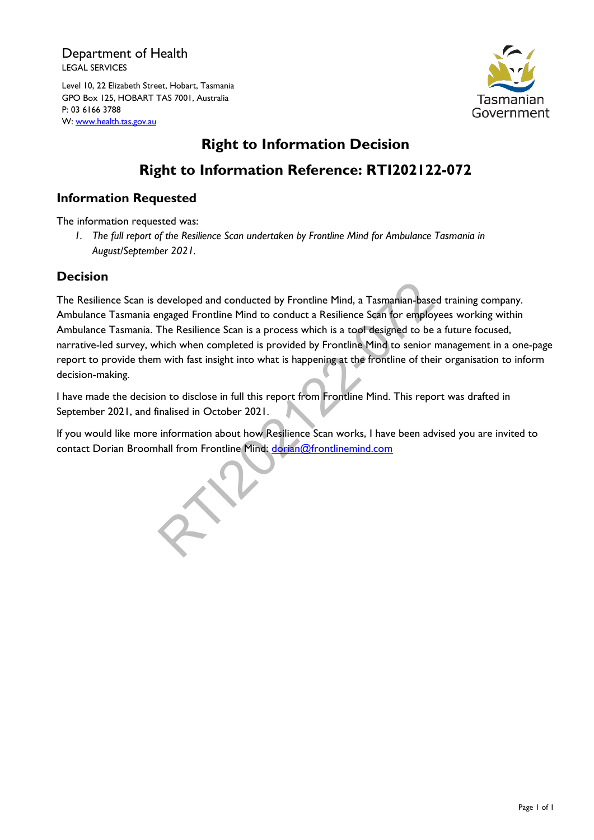### Department of Health LEGAL SERVICES

Level 10, 22 Elizabeth Street, Hobart, Tasmania GPO Box 125, HOBART TAS 7001, Australia P: 03 6166 3788 W: [www.health.tas.gov.au](http://www.health.tas.gov.au/)



# **Right to Information Decision Right to Information Reference: RTI202122-072**

### **Information Requested**

The information requested was:

*1. The full report of the Resilience Scan undertaken by Frontline Mind for Ambulance Tasmania in August/September 2021.*

### **Decision**

The Resilience Scan is developed and conducted by Frontline Mind, a Tasmanian-based training company. Ambulance Tasmania engaged Frontline Mind to conduct a Resilience Scan for employees working within Ambulance Tasmania. The Resilience Scan is a process which is a tool designed to be a future focused, narrative-led survey, which when completed is provided by Frontline Mind to senior management in a one-page report to provide them with fast insight into what is happening at the frontline of their organisation to inform decision-making. developed and conducted by Frontline Mind, a Tasmanian-base<br>mgaged Frontline Mind to conduct a Resilience Scan for employ<br>The Resilience Scan is a process which is a tool designed to be<br>hich when completed is provided by F

I have made the decision to disclose in full this report from Frontline Mind. This report was drafted in September 2021, and finalised in October 2021.

If you would like more information about how Resilience Scan works, I have been advised you are invited to contact Dorian Broomhall from Frontline Mind: dorian@frontlinemind.com